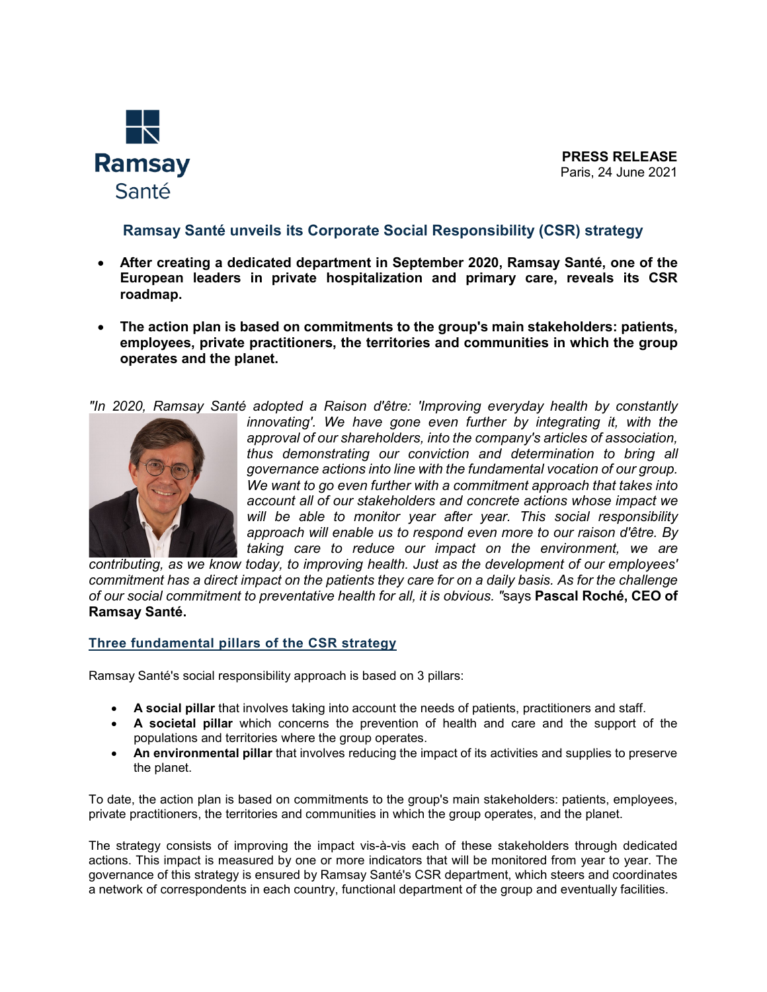

**PRESS RELEASE** Paris, 24 June 2021

# **Ramsay Santé unveils its Corporate Social Responsibility (CSR) strategy**

- **After creating a dedicated department in September 2020, Ramsay Santé, one of the European leaders in private hospitalization and primary care, reveals its CSR roadmap.**
- **The action plan is based on commitments to the group's main stakeholders: patients, employees, private practitioners, the territories and communities in which the group operates and the planet.**

*"In 2020, Ramsay Santé adopted a Raison d'être: 'Improving everyday health by constantly* 



*innovating'.* We have gone even further by integrating it, with the *approval of our shareholders, into the company's articles of association, thus demonstrating our conviction and determination to bring all governance actions into line with the fundamental vocation of our group. We want to go even further with a commitment approach that takes into account all of our stakeholders and concrete actions whose impact we will be able to monitor year after year. This social responsibility approach will enable us to respond even more to our raison d'être. By taking care to reduce our impact on the environment, we are* 

*contributing, as we know today, to improving health. Just as the development of our employees' commitment has a direct impact on the patients they care for on a daily basis. As for the challenge of our social commitment to preventative health for all, it is obvious. "*says **Pascal Roché, CEO of Ramsay Santé.**

# **Three fundamental pillars of the CSR strategy**

Ramsay Santé's social responsibility approach is based on 3 pillars:

- **A social pillar** that involves taking into account the needs of patients, practitioners and staff.
- **A societal pillar** which concerns the prevention of health and care and the support of the populations and territories where the group operates.
- **An environmental pillar** that involves reducing the impact of its activities and supplies to preserve the planet.

To date, the action plan is based on commitments to the group's main stakeholders: patients, employees, private practitioners, the territories and communities in which the group operates, and the planet.

The strategy consists of improving the impact vis-à-vis each of these stakeholders through dedicated actions. This impact is measured by one or more indicators that will be monitored from year to year. The governance of this strategy is ensured by Ramsay Santé's CSR department, which steers and coordinates a network of correspondents in each country, functional department of the group and eventually facilities.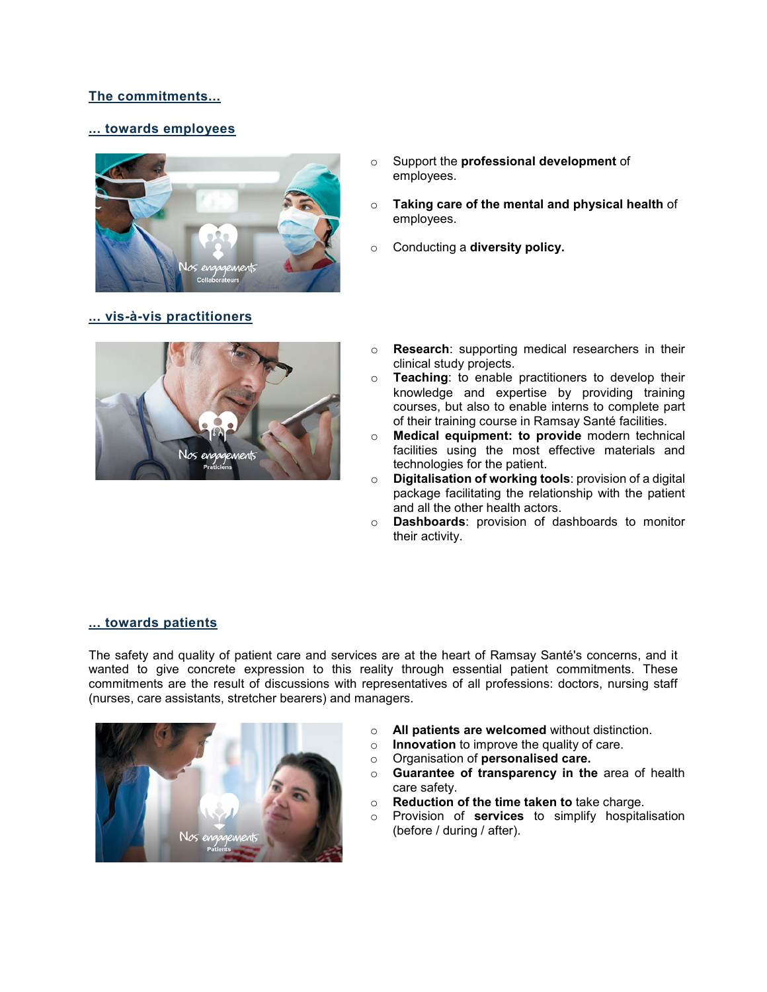# **The commitments...**

### **... towards employees**



# **... vis-à-vis practitioners**

- o Support the **professional development** of employees.
- o **Taking care of the mental and physical health** of employees.
- o Conducting a **diversity policy.**



- o **Research**: supporting medical researchers in their clinical study projects.
- o **Teaching**: to enable practitioners to develop their knowledge and expertise by providing training courses, but also to enable interns to complete part of their training course in Ramsay Santé facilities.
- o **Medical equipment: to provide** modern technical facilities using the most effective materials and technologies for the patient.
- o **Digitalisation of working tools**: provision of a digital package facilitating the relationship with the patient and all the other health actors.
- o **Dashboards**: provision of dashboards to monitor their activity.

#### **... towards patients**

The safety and quality of patient care and services are at the heart of Ramsay Santé's concerns, and it wanted to give concrete expression to this reality through essential patient commitments. These commitments are the result of discussions with representatives of all professions: doctors, nursing staff (nurses, care assistants, stretcher bearers) and managers.



- **All patients are welcomed** without distinction.<br>○ **Innovation** to improve the quality of care.
- **Innovation** to improve the quality of care.<br>○ Organisation of **personalised care.**
- o Organisation of **personalised care.**
- **Guarantee of transparency in the area of health** care safety.
- o **Reduction of the time taken to** take charge.
- o Provision of **services** to simplify hospitalisation (before / during / after).